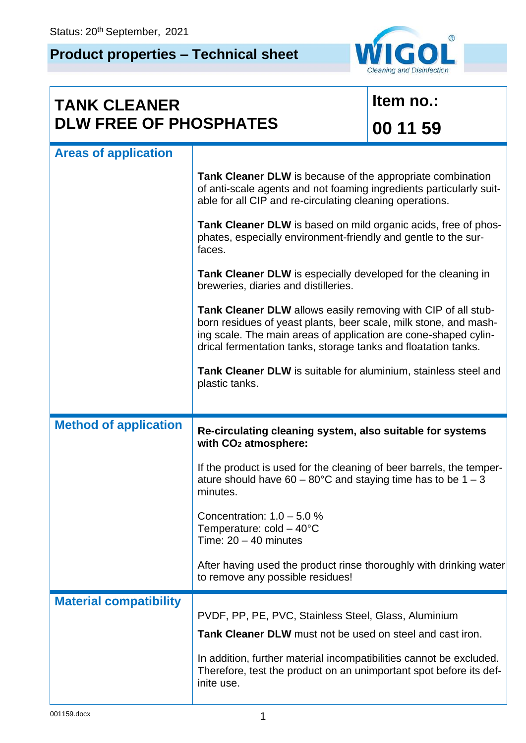## **Product properties – Technical sheet**



| <b>TANK CLEANER</b><br><b>DLW FREE OF PHOSPHATES</b> |                                                                                                                                                                                                                                                                        | Item no.: |  |
|------------------------------------------------------|------------------------------------------------------------------------------------------------------------------------------------------------------------------------------------------------------------------------------------------------------------------------|-----------|--|
|                                                      |                                                                                                                                                                                                                                                                        | 00 11 59  |  |
| <b>Areas of application</b>                          |                                                                                                                                                                                                                                                                        |           |  |
|                                                      | Tank Cleaner DLW is because of the appropriate combination<br>of anti-scale agents and not foaming ingredients particularly suit-<br>able for all CIP and re-circulating cleaning operations.                                                                          |           |  |
|                                                      | Tank Cleaner DLW is based on mild organic acids, free of phos-<br>phates, especially environment-friendly and gentle to the sur-<br>faces.                                                                                                                             |           |  |
|                                                      | Tank Cleaner DLW is especially developed for the cleaning in<br>breweries, diaries and distilleries.                                                                                                                                                                   |           |  |
|                                                      | Tank Cleaner DLW allows easily removing with CIP of all stub-<br>born residues of yeast plants, beer scale, milk stone, and mash-<br>ing scale. The main areas of application are cone-shaped cylin-<br>drical fermentation tanks, storage tanks and floatation tanks. |           |  |
|                                                      | Tank Cleaner DLW is suitable for aluminium, stainless steel and<br>plastic tanks.                                                                                                                                                                                      |           |  |
| <b>Method of application</b>                         | Re-circulating cleaning system, also suitable for systems<br>with CO <sub>2</sub> atmosphere:                                                                                                                                                                          |           |  |
|                                                      | If the product is used for the cleaning of beer barrels, the temper-<br>ature should have 60 – 80 $^{\circ}$ C and staying time has to be 1 – 3<br>minutes.                                                                                                            |           |  |
|                                                      | Concentration: $1.0 - 5.0 %$<br>Temperature: $cold - 40^{\circ}C$<br>Time: $20 - 40$ minutes                                                                                                                                                                           |           |  |
|                                                      | After having used the product rinse thoroughly with drinking water<br>to remove any possible residues!                                                                                                                                                                 |           |  |
| <b>Material compatibility</b>                        | PVDF, PP, PE, PVC, Stainless Steel, Glass, Aluminium<br>Tank Cleaner DLW must not be used on steel and cast iron.                                                                                                                                                      |           |  |
|                                                      | In addition, further material incompatibilities cannot be excluded.<br>Therefore, test the product on an unimportant spot before its def-<br>inite use.                                                                                                                |           |  |